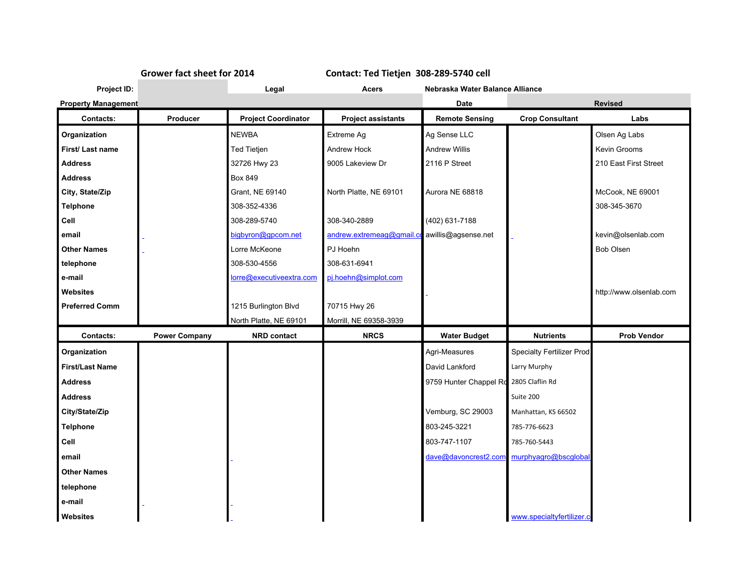**Grower fact sheet for 2014 Contact: Ted Tietjen 308-289-5740 cell**

**Project ID: Legal Acers Nebraska Water Balance Alliance**

**Property Management Date Revised Contacts: Producer Project Coordinator Project assistants Remote Sensing Crop Consultant Labs Organization** NEWBA Extreme Ag Ag Sense LLC **NEWBA** Extreme Ag Ag Sense LLC **C** NEW Ag Labs **First/ Last name | Community Community Community Community Community Andrew Hock Andrew Willis Community Community Revin Grooms** Address **1.2. In the Contract Address** 32726 Hwy 23 9005 Lakeview Dr 2116 P Street 2116 P Street 210 East First Street Address Box 849 **City, State/Zip** McCook, NE 69001 **Grant, NE 69140** North Platte, NE 69101 **Aurora NE 68818** McCook, NE 69001 **Telphone** 308-352-4336 308-345-3670 **Cell** 308-289-5740 308-340-2889 (402) 631-7188 **email** [bigbyron@gpcom.net](mailto:bigbyron@gpcom.net) [andrew.extremeag@gmail.co](mailto:andrew.extremeag@gmail.com)mail@agsense.net kevin@olsenlab.com **Other Names Lorre McKeone PJ Hoehn** Bob Olsen Bob Olsen **telephone** 308-631-6941 **e-mail** [lorre@executiveextra.com](mailto:lorre@executiveextra.com) [pj.hoehn@simplot.com](mailto:pj.hoehn@simplot.com) **Websites** http://www.olsenlab.com **Preferred Comm** 26 **1215 Burlington Blvd** 70715 Hwy 26 North Platte, NE 69101 Morrill, NE 69358-3939 **Contacts: Power Company NRD contact NRCS Water Budget Nutrients Prob Vendor Organization** Specialty Fertilizer Prod **First/Last Name David Larry Murphy David Larry Murphy David Lankford** Larry Murphy **Address 1988 1989 Telecommunity 19759 Hunter Chappel Rd** 2805 Claflin Rd 2805 Claflin Rd **Address** Suite 200 **City/State/Zip** Manhattan, KS 66502 **Telphone** 803-245-3221 785-776-6623 **Cell** 803-747-1107 785-760-5443 **email** [dave@davoncrest2.com](mailto:dave@davoncrest2.com) murphyagro@bscgloba **Other Names telephone e-mail Websites [www.specialtyfertilizer.co](http://www.specialtyfertilizer.com/)m**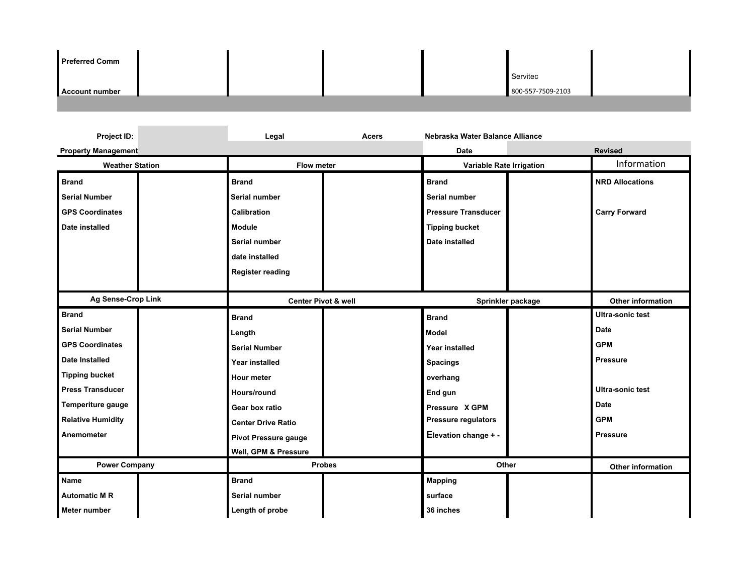| Preferred Comm |  |  |                   |  |
|----------------|--|--|-------------------|--|
|                |  |  | Servitec          |  |
| Account number |  |  | 800-557-7509-2103 |  |
|                |  |  |                   |  |

| Project ID:                | Legal                          | <b>Acers</b>  | Nebraska Water Balance Alliance |                   |                          |
|----------------------------|--------------------------------|---------------|---------------------------------|-------------------|--------------------------|
| <b>Property Management</b> |                                |               | <b>Date</b>                     |                   | <b>Revised</b>           |
| <b>Weather Station</b>     | <b>Flow meter</b>              |               | Variable Rate Irrigation        |                   | Information              |
| <b>Brand</b>               | <b>Brand</b>                   |               | <b>Brand</b>                    |                   | <b>NRD Allocations</b>   |
| <b>Serial Number</b>       | Serial number                  |               | Serial number                   |                   |                          |
| <b>GPS Coordinates</b>     | <b>Calibration</b>             |               | <b>Pressure Transducer</b>      |                   | <b>Carry Forward</b>     |
| Date installed             | <b>Module</b>                  |               | <b>Tipping bucket</b>           |                   |                          |
|                            | Serial number                  |               | Date installed                  |                   |                          |
|                            | date installed                 |               |                                 |                   |                          |
|                            | <b>Register reading</b>        |               |                                 |                   |                          |
|                            |                                |               |                                 |                   |                          |
| <b>Ag Sense-Crop Link</b>  | <b>Center Pivot &amp; well</b> |               |                                 | Sprinkler package | <b>Other information</b> |
| <b>Brand</b>               | <b>Brand</b>                   |               | <b>Brand</b>                    |                   | <b>Ultra-sonic test</b>  |
| <b>Serial Number</b>       | Length                         |               | <b>Model</b>                    |                   | <b>Date</b>              |
| <b>GPS Coordinates</b>     | <b>Serial Number</b>           |               | Year installed                  |                   | <b>GPM</b>               |
| Date Installed             | Year installed                 |               | <b>Spacings</b>                 |                   | <b>Pressure</b>          |
| <b>Tipping bucket</b>      | <b>Hour meter</b>              |               | overhang                        |                   |                          |
| <b>Press Transducer</b>    | Hours/round                    |               | End gun                         |                   | Ultra-sonic test         |
| Temperiture gauge          | Gear box ratio                 |               | Pressure X GPM                  |                   | Date                     |
| <b>Relative Humidity</b>   | <b>Center Drive Ratio</b>      |               | Pressure regulators             |                   | <b>GPM</b>               |
| Anemometer                 | <b>Pivot Pressure gauge</b>    |               | Elevation change + -            |                   | <b>Pressure</b>          |
|                            | Well, GPM & Pressure           |               |                                 |                   |                          |
| <b>Power Company</b>       |                                | <b>Probes</b> | Other                           |                   | <b>Other information</b> |
| <b>Name</b>                | <b>Brand</b>                   |               | <b>Mapping</b>                  |                   |                          |
| <b>Automatic MR</b>        | Serial number                  |               | surface                         |                   |                          |
| Meter number               | Length of probe                |               | 36 inches                       |                   |                          |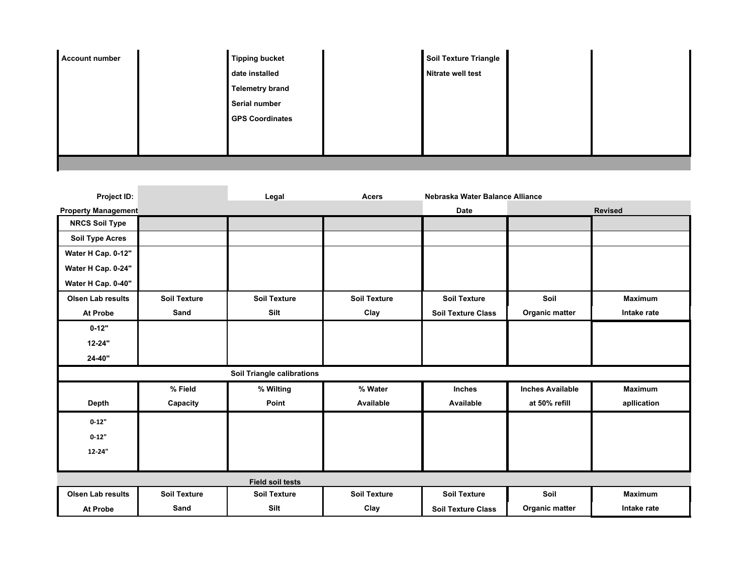| Account number | <b>Tipping bucket</b>  | Soil Texture Triangle |  |
|----------------|------------------------|-----------------------|--|
|                | date installed         | Nitrate well test     |  |
|                | <b>Telemetry brand</b> |                       |  |
|                | Serial number          |                       |  |
|                | <b>GPS Coordinates</b> |                       |  |
|                |                        |                       |  |
|                |                        |                       |  |
|                |                        |                       |  |

| Project ID:                |                     | Legal                      | <b>Acers</b>        | Nebraska Water Balance Alliance |                         |                |
|----------------------------|---------------------|----------------------------|---------------------|---------------------------------|-------------------------|----------------|
| <b>Property Management</b> |                     |                            |                     | Date                            |                         | <b>Revised</b> |
| <b>NRCS Soil Type</b>      |                     |                            |                     |                                 |                         |                |
| <b>Soil Type Acres</b>     |                     |                            |                     |                                 |                         |                |
| Water H Cap. 0-12"         |                     |                            |                     |                                 |                         |                |
| Water H Cap. 0-24"         |                     |                            |                     |                                 |                         |                |
| Water H Cap. 0-40"         |                     |                            |                     |                                 |                         |                |
| <b>Olsen Lab results</b>   | <b>Soil Texture</b> | <b>Soil Texture</b>        | <b>Soil Texture</b> | <b>Soil Texture</b>             | Soil                    | <b>Maximum</b> |
| <b>At Probe</b>            | Sand                | Silt                       | Clay                | <b>Soil Texture Class</b>       | Organic matter          | Intake rate    |
| $0-12"$                    |                     |                            |                     |                                 |                         |                |
| $12 - 24"$                 |                     |                            |                     |                                 |                         |                |
| 24-40"                     |                     |                            |                     |                                 |                         |                |
|                            |                     | Soil Triangle calibrations |                     |                                 |                         |                |
|                            | % Field             | % Wilting                  | % Water             | <b>Inches</b>                   | <b>Inches Available</b> | <b>Maximum</b> |
| Depth                      | Capacity            | Point                      | Available           | Available                       | at 50% refill           | apllication    |
| $0 - 12"$                  |                     |                            |                     |                                 |                         |                |
| $0 - 12"$                  |                     |                            |                     |                                 |                         |                |
| 12-24"                     |                     |                            |                     |                                 |                         |                |
|                            |                     |                            |                     |                                 |                         |                |
|                            |                     | <b>Field soil tests</b>    |                     |                                 |                         |                |
| <b>Olsen Lab results</b>   | <b>Soil Texture</b> | <b>Soil Texture</b>        | <b>Soil Texture</b> | <b>Soil Texture</b>             | Soil                    | <b>Maximum</b> |
| <b>At Probe</b>            | Sand                | Silt                       | Clay                | <b>Soil Texture Class</b>       | Organic matter          | Intake rate    |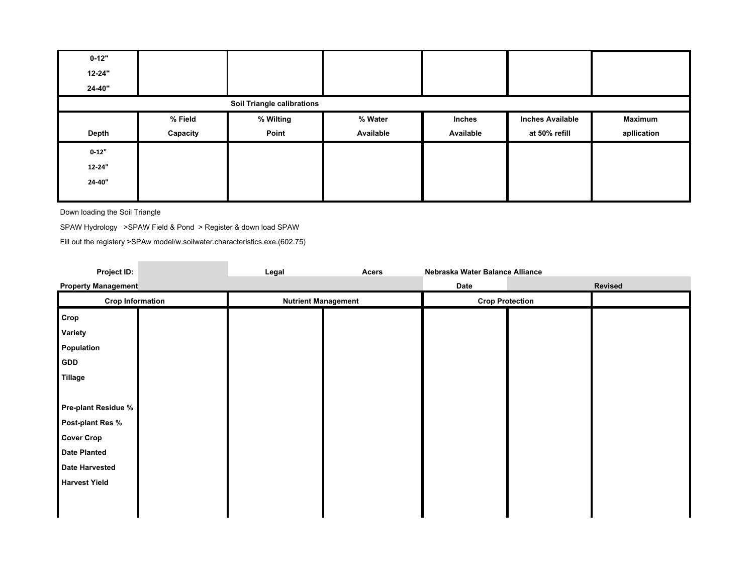| $0 - 12"$    |          |                            |           |           |                         |                |
|--------------|----------|----------------------------|-----------|-----------|-------------------------|----------------|
| 12-24"       |          |                            |           |           |                         |                |
| 24-40"       |          |                            |           |           |                         |                |
|              |          | Soil Triangle calibrations |           |           |                         |                |
|              | % Field  | % Wilting                  | % Water   | Inches    | <b>Inches Available</b> | <b>Maximum</b> |
| <b>Depth</b> | Capacity | Point                      | Available | Available | at 50% refill           | apllication    |
| $0 - 12"$    |          |                            |           |           |                         |                |
| 12-24"       |          |                            |           |           |                         |                |
| 24-40"       |          |                            |           |           |                         |                |
|              |          |                            |           |           |                         |                |

Down loading the Soil Triangle

SPAW Hydrology >SPAW Field & Pond > Register & down load SPAW

Fill out the registery >SPAw model/w.soilwater.characteristics.exe.(602.75)

| Project ID:                | Legal                      | Acers | Nebraska Water Balance Alliance |         |
|----------------------------|----------------------------|-------|---------------------------------|---------|
| <b>Property Management</b> |                            |       | Date                            | Revised |
| <b>Crop Information</b>    | <b>Nutrient Management</b> |       | <b>Crop Protection</b>          |         |
| Crop                       |                            |       |                                 |         |
| Variety                    |                            |       |                                 |         |
| Population                 |                            |       |                                 |         |
| GDD                        |                            |       |                                 |         |
| Tillage                    |                            |       |                                 |         |
|                            |                            |       |                                 |         |
| Pre-plant Residue %        |                            |       |                                 |         |
| Post-plant Res %           |                            |       |                                 |         |
| <b>Cover Crop</b>          |                            |       |                                 |         |
| <b>Date Planted</b>        |                            |       |                                 |         |
| <b>Date Harvested</b>      |                            |       |                                 |         |
| <b>Harvest Yield</b>       |                            |       |                                 |         |
|                            |                            |       |                                 |         |
|                            |                            |       |                                 |         |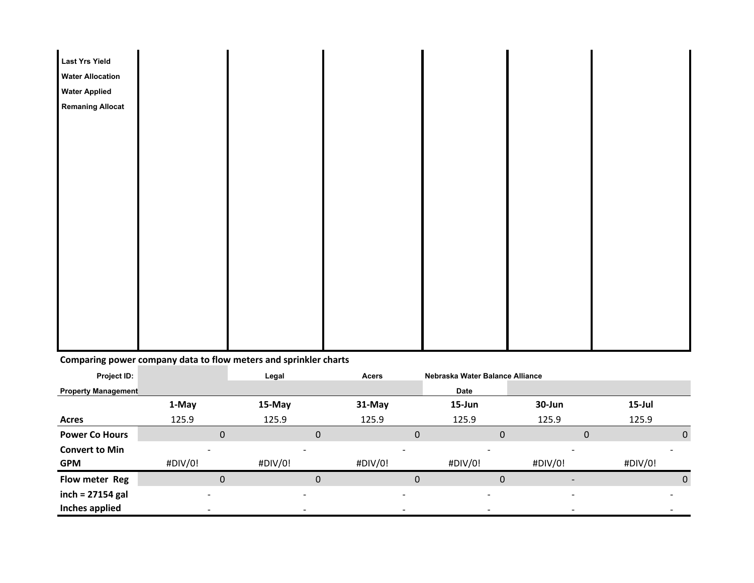| <b>Last Yrs Yield</b>   |  |  |  |
|-------------------------|--|--|--|
| <b>Water Allocation</b> |  |  |  |
| <b>Water Applied</b>    |  |  |  |
| Remaning Allocat        |  |  |  |
|                         |  |  |  |
|                         |  |  |  |
|                         |  |  |  |
|                         |  |  |  |
|                         |  |  |  |
|                         |  |  |  |
|                         |  |  |  |
|                         |  |  |  |
|                         |  |  |  |
|                         |  |  |  |
|                         |  |  |  |
|                         |  |  |  |
|                         |  |  |  |
|                         |  |  |  |
|                         |  |  |  |
|                         |  |  |  |

## **Comparing power company data to flow meters and sprinkler charts**

| Project ID:                |         | Legal   |   | Acers    |   | Nebraska Water Balance Alliance |   |                          |   |           |   |
|----------------------------|---------|---------|---|----------|---|---------------------------------|---|--------------------------|---|-----------|---|
| <b>Property Management</b> |         |         |   |          |   | Date                            |   |                          |   |           |   |
|                            | 1-May   | 15-May  |   | $31-May$ |   | $15$ -Jun                       |   | 30-Jun                   |   | $15$ -Jul |   |
| Acres                      | 125.9   | 125.9   |   | 125.9    |   | 125.9                           |   | 125.9                    |   | 125.9     |   |
| <b>Power Co Hours</b>      |         |         | 0 |          | 0 |                                 | 0 |                          | 0 |           | 0 |
| <b>Convert to Min</b>      |         |         |   |          |   |                                 |   |                          |   |           |   |
| <b>GPM</b>                 | #DIV/0! | #DIV/0! |   | #DIV/0!  |   | #DIV/0!                         |   | #DIV/0!                  |   | #DIV/0!   |   |
| Flow meter Reg             |         |         | 0 |          |   |                                 |   | $\overline{\phantom{0}}$ |   |           |   |
| $inch = 27154 gal$         |         |         |   |          |   |                                 |   |                          |   |           |   |
| Inches applied             |         |         |   |          |   |                                 |   |                          |   |           |   |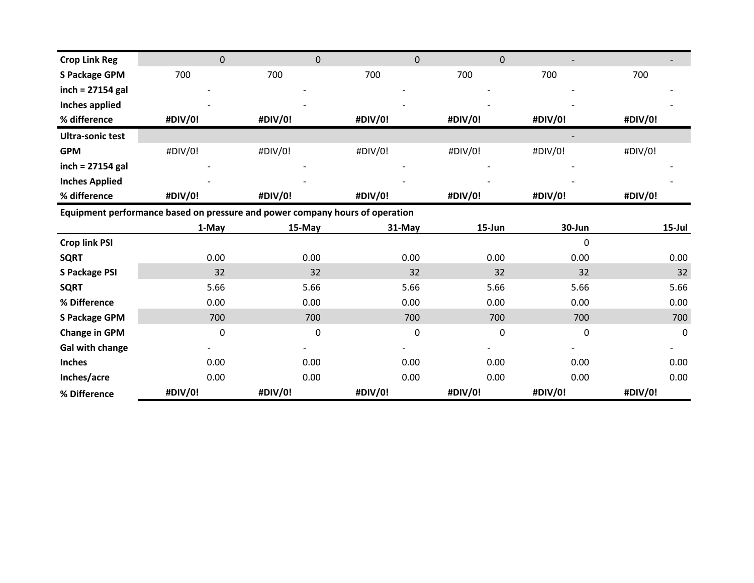| <b>Crop Link Reg</b>    | $\mathbf{0}$ | $\mathbf 0$                                                                  | $\mathbf 0$      | $\pmb{0}$   |           |                  |
|-------------------------|--------------|------------------------------------------------------------------------------|------------------|-------------|-----------|------------------|
| <b>S Package GPM</b>    | 700          | 700                                                                          | 700              | 700         | 700       | 700              |
| $inch = 27154 gal$      |              |                                                                              |                  |             |           |                  |
| Inches applied          |              |                                                                              |                  |             |           |                  |
| % difference            | #DIV/0!      | #DIV/0!                                                                      | #DIV/0!          | #DIV/0!     | #DIV/0!   | #DIV/0!          |
| <b>Ultra-sonic test</b> |              |                                                                              |                  |             |           |                  |
| <b>GPM</b>              | #DIV/0!      | #DIV/0!                                                                      | #DIV/0!          | #DIV/0!     | #DIV/0!   | #DIV/0!          |
| $inch = 27154 gal$      |              |                                                                              |                  |             |           |                  |
| <b>Inches Applied</b>   |              |                                                                              |                  |             |           |                  |
| % difference            | #DIV/0!      | #DIV/0!                                                                      | #DIV/0!          | #DIV/0!     | #DIV/0!   | #DIV/0!          |
|                         |              | Equipment performance based on pressure and power company hours of operation |                  |             |           |                  |
|                         | 1-May        | 15-May                                                                       | 31-May           | 15-Jun      | 30-Jun    | 15-Jul           |
| <b>Crop link PSI</b>    |              |                                                                              |                  |             | 0         |                  |
| <b>SQRT</b>             | 0.00         | 0.00                                                                         | 0.00             | 0.00        | 0.00      | 0.00             |
| <b>S Package PSI</b>    | 32           | 32                                                                           | 32               | 32          | 32        | 32               |
| <b>SQRT</b>             | 5.66         | 5.66                                                                         | 5.66             | 5.66        | 5.66      | 5.66             |
| % Difference            | 0.00         | 0.00                                                                         | 0.00             | 0.00        | 0.00      | 0.00             |
| <b>S Package GPM</b>    | 700          | 700                                                                          | 700              | 700         | 700       | 700              |
| <b>Change in GPM</b>    | 0            | $\pmb{0}$                                                                    | $\boldsymbol{0}$ | $\mathbf 0$ | $\pmb{0}$ | $\boldsymbol{0}$ |
| Gal with change         |              |                                                                              |                  |             |           |                  |
| <b>Inches</b>           | 0.00         | 0.00                                                                         | 0.00             | 0.00        | 0.00      | 0.00             |
| Inches/acre             | 0.00         | 0.00                                                                         | 0.00             | 0.00        | 0.00      | 0.00             |
| % Difference            | #DIV/0!      | #DIV/0!                                                                      | #DIV/0!          | #DIV/0!     | #DIV/0!   | #DIV/0!          |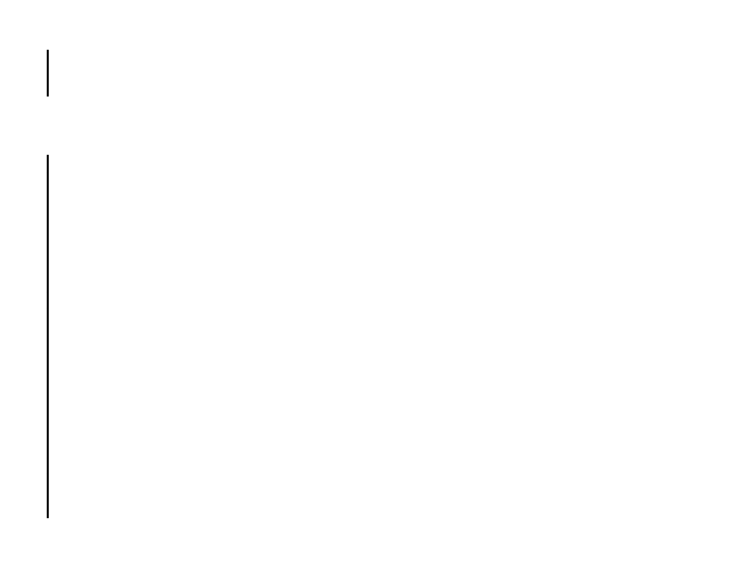$\begin{array}{c} \hline \end{array}$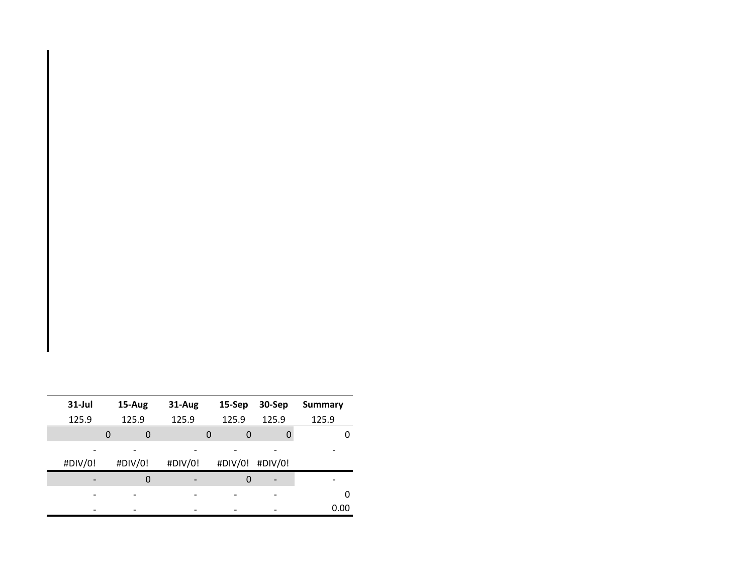| $31$ -Jul | 15-Aug        | 31-Aug  | 15-Sep  | 30-Sep  | <b>Summary</b> |
|-----------|---------------|---------|---------|---------|----------------|
| 125.9     | 125.9         | 125.9   | 125.9   | 125.9   | 125.9          |
|           | $\Omega$<br>0 |         | 0<br>0  | 0       |                |
|           |               |         |         |         |                |
| #DIV/0!   | #DIV/0!       | #DIV/0! | #DIV/0! | #DIV/0! |                |
|           | $\Omega$      | -       | 0       |         |                |
|           |               |         |         |         |                |
|           |               |         |         |         | 0.00           |